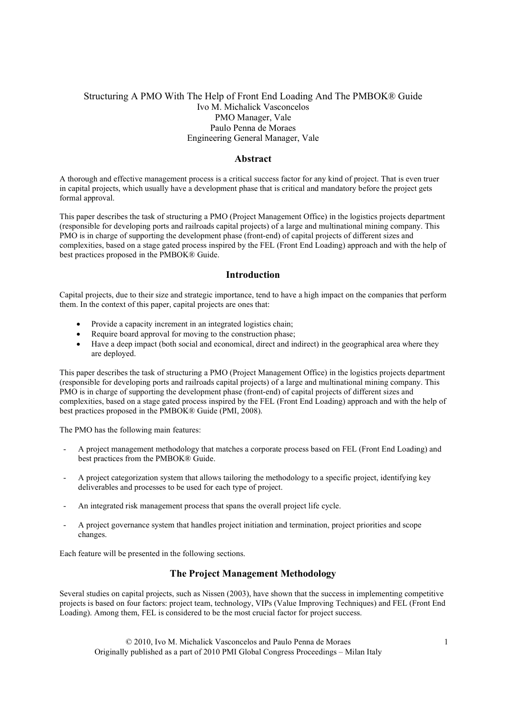# Structuring A PMO With The Help of Front End Loading And The PMBOK® Guide Ivo M. Michalick Vasconcelos PMO Manager, Vale Paulo Penna de Moraes Engineering General Manager, Vale

#### Abstract

A thorough and effective management process is a critical success factor for any kind of project. That is even truer in capital projects, which usually have a development phase that is critical and mandatory before the project gets formal approval.

This paper describes the task of structuring a PMO (Project Management Office) in the logistics projects department (responsible for developing ports and railroads capital projects) of a large and multinational mining company. This PMO is in charge of supporting the development phase (front-end) of capital projects of different sizes and complexities, based on a stage gated process inspired by the FEL (Front End Loading) approach and with the help of best practices proposed in the PMBOK® Guide.

# Introduction

Capital projects, due to their size and strategic importance, tend to have a high impact on the companies that perform them. In the context of this paper, capital projects are ones that:

- Provide a capacity increment in an integrated logistics chain;
- Require board approval for moving to the construction phase;
- Have a deep impact (both social and economical, direct and indirect) in the geographical area where they are deployed.

This paper describes the task of structuring a PMO (Project Management Office) in the logistics projects department (responsible for developing ports and railroads capital projects) of a large and multinational mining company. This PMO is in charge of supporting the development phase (front-end) of capital projects of different sizes and complexities, based on a stage gated process inspired by the FEL (Front End Loading) approach and with the help of best practices proposed in the PMBOK® Guide (PMI, 2008).

The PMO has the following main features:

- A project management methodology that matches a corporate process based on FEL (Front End Loading) and best practices from the PMBOK® Guide.
- A project categorization system that allows tailoring the methodology to a specific project, identifying key deliverables and processes to be used for each type of project.
- An integrated risk management process that spans the overall project life cycle.
- A project governance system that handles project initiation and termination, project priorities and scope changes.

Each feature will be presented in the following sections.

# The Project Management Methodology

Several studies on capital projects, such as Nissen (2003), have shown that the success in implementing competitive projects is based on four factors: project team, technology, VIPs (Value Improving Techniques) and FEL (Front End Loading). Among them, FEL is considered to be the most crucial factor for project success.

 © 2010, Ivo M. Michalick Vasconcelos and Paulo Penna de Moraes 1 Originally published as a part of 2010 PMI Global Congress Proceedings – Milan Italy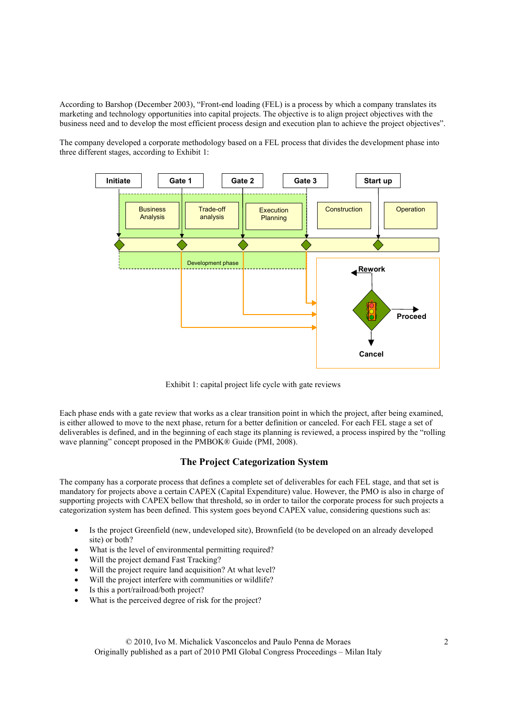According to Barshop (December 2003), "Front-end loading (FEL) is a process by which a company translates its marketing and technology opportunities into capital projects. The objective is to align project objectives with the business need and to develop the most efficient process design and execution plan to achieve the project objectives".

The company developed a corporate methodology based on a FEL process that divides the development phase into three different stages, according to Exhibit 1:



Exhibit 1: capital project life cycle with gate reviews

Each phase ends with a gate review that works as a clear transition point in which the project, after being examined, is either allowed to move to the next phase, return for a better definition or canceled. For each FEL stage a set of deliverables is defined, and in the beginning of each stage its planning is reviewed, a process inspired by the "rolling wave planning" concept proposed in the PMBOK® Guide (PMI, 2008).

# The Project Categorization System

The company has a corporate process that defines a complete set of deliverables for each FEL stage, and that set is mandatory for projects above a certain CAPEX (Capital Expenditure) value. However, the PMO is also in charge of supporting projects with CAPEX bellow that threshold, so in order to tailor the corporate process for such projects a categorization system has been defined. This system goes beyond CAPEX value, considering questions such as:

- Is the project Greenfield (new, undeveloped site), Brownfield (to be developed on an already developed site) or both?
- What is the level of environmental permitting required?
- Will the project demand Fast Tracking?
- Will the project require land acquisition? At what level?
- Will the project interfere with communities or wildlife?
- Is this a port/railroad/both project?
- What is the perceived degree of risk for the project?

 © 2010, Ivo M. Michalick Vasconcelos and Paulo Penna de Moraes 2 Originally published as a part of 2010 PMI Global Congress Proceedings – Milan Italy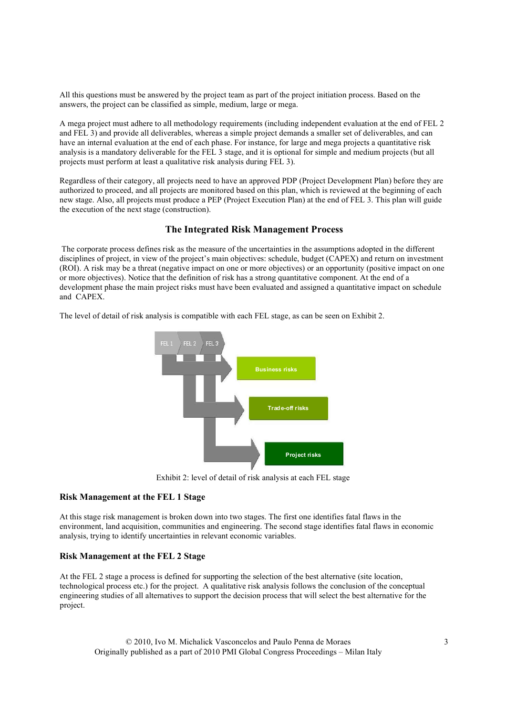All this questions must be answered by the project team as part of the project initiation process. Based on the answers, the project can be classified as simple, medium, large or mega.

A mega project must adhere to all methodology requirements (including independent evaluation at the end of FEL 2 and FEL 3) and provide all deliverables, whereas a simple project demands a smaller set of deliverables, and can have an internal evaluation at the end of each phase. For instance, for large and mega projects a quantitative risk analysis is a mandatory deliverable for the FEL 3 stage, and it is optional for simple and medium projects (but all projects must perform at least a qualitative risk analysis during FEL 3).

Regardless of their category, all projects need to have an approved PDP (Project Development Plan) before they are authorized to proceed, and all projects are monitored based on this plan, which is reviewed at the beginning of each new stage. Also, all projects must produce a PEP (Project Execution Plan) at the end of FEL 3. This plan will guide the execution of the next stage (construction).

# The Integrated Risk Management Process

 The corporate process defines risk as the measure of the uncertainties in the assumptions adopted in the different disciplines of project, in view of the project's main objectives: schedule, budget (CAPEX) and return on investment (ROI). A risk may be a threat (negative impact on one or more objectives) or an opportunity (positive impact on one or more objectives). Notice that the definition of risk has a strong quantitative component. At the end of a development phase the main project risks must have been evaluated and assigned a quantitative impact on schedule and CAPEX.

The level of detail of risk analysis is compatible with each FEL stage, as can be seen on Exhibit 2.



Exhibit 2: level of detail of risk analysis at each FEL stage

# Risk Management at the FEL 1 Stage

At this stage risk management is broken down into two stages. The first one identifies fatal flaws in the environment, land acquisition, communities and engineering. The second stage identifies fatal flaws in economic analysis, trying to identify uncertainties in relevant economic variables.

## Risk Management at the FEL 2 Stage

At the FEL 2 stage a process is defined for supporting the selection of the best alternative (site location, technological process etc.) for the project. A qualitative risk analysis follows the conclusion of the conceptual engineering studies of all alternatives to support the decision process that will select the best alternative for the project.

 © 2010, Ivo M. Michalick Vasconcelos and Paulo Penna de Moraes 3 Originally published as a part of 2010 PMI Global Congress Proceedings – Milan Italy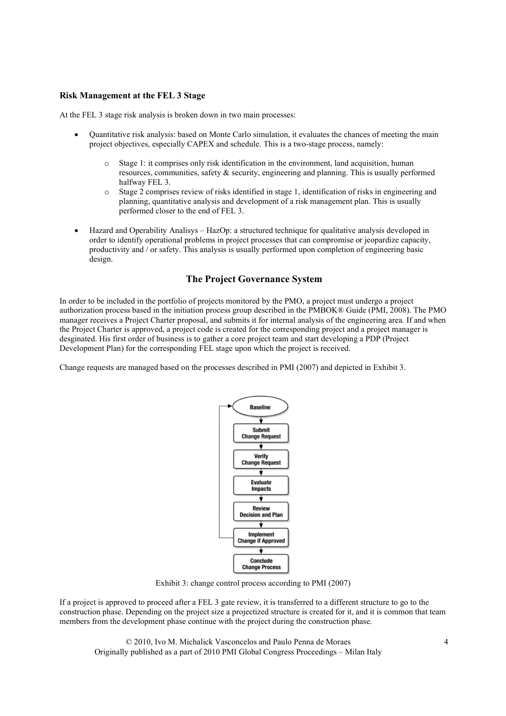## Risk Management at the FEL 3 Stage

At the FEL 3 stage risk analysis is broken down in two main processes:

- Quantitative risk analysis: based on Monte Carlo simulation, it evaluates the chances of meeting the main project objectives, especially CAPEX and schedule. This is a two-stage process, namely:
	- o Stage 1: it comprises only risk identification in the environment, land acquisition, human resources, communities, safety & security, engineering and planning. This is usually performed halfway FEL 3.
	- o Stage 2 comprises review of risks identified in stage 1, identification of risks in engineering and planning, quantitative analysis and development of a risk management plan. This is usually performed closer to the end of FEL 3.
- Hazard and Operability Analisys HazOp: a structured technique for qualitative analysis developed in order to identify operational problems in project processes that can compromise or jeopardize capacity, productivity and / or safety. This analysis is usually performed upon completion of engineering basic design.

# The Project Governance System

In order to be included in the portfolio of projects monitored by the PMO, a project must undergo a project authorization process based in the initiation process group described in the PMBOK® Guide (PMI, 2008). The PMO manager receives a Project Charter proposal, and submits it for internal analysis of the engineering area. If and when the Project Charter is approved, a project code is created for the corresponding project and a project manager is desginated. His first order of business is to gather a core project team and start developing a PDP (Project Development Plan) for the corresponding FEL stage upon which the project is received.

Change requests are managed based on the processes described in PMI (2007) and depicted in Exhibit 3.



Exhibit 3: change control process according to PMI (2007)

If a project is approved to proceed after a FEL 3 gate review, it is transferred to a different structure to go to the construction phase. Depending on the project size a projectized structure is created for it, and it is common that team members from the development phase continue with the project during the construction phase.

 © 2010, Ivo M. Michalick Vasconcelos and Paulo Penna de Moraes 4 Originally published as a part of 2010 PMI Global Congress Proceedings – Milan Italy